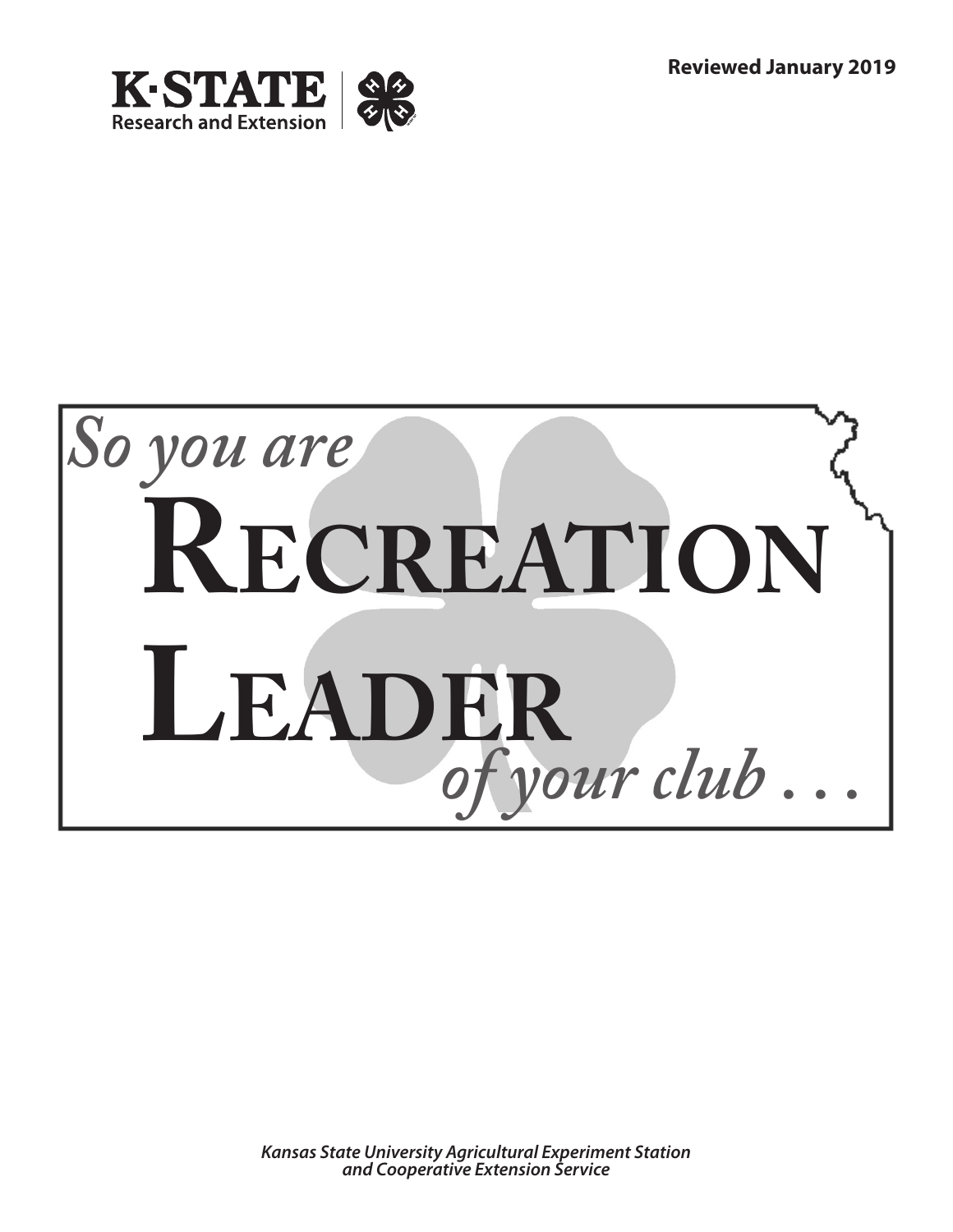

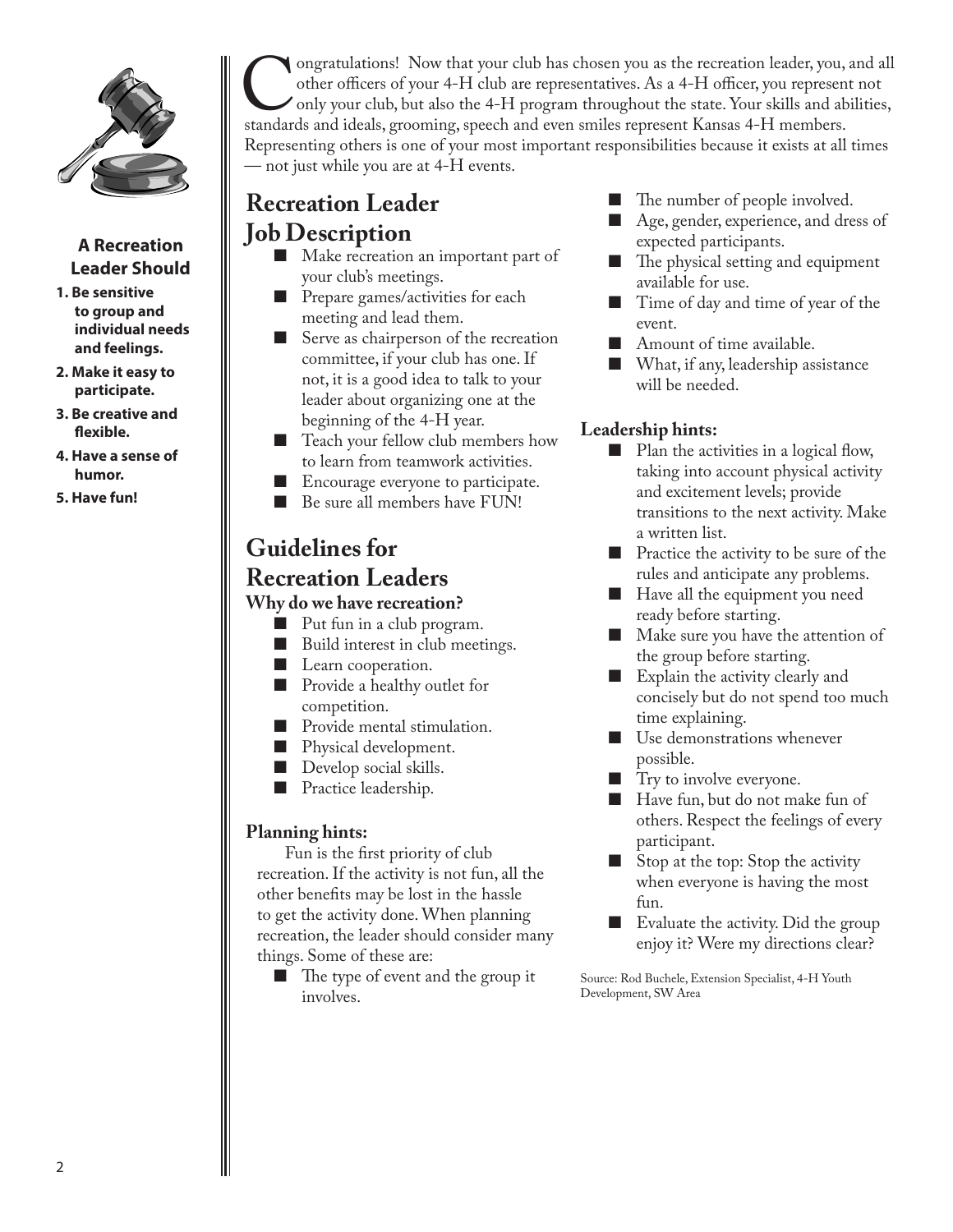

## **A Recreation Leader Should**

- **1. Be sensitive to group and individual needs and feelings.**
- **2. Make it easy to participate.**
- **3. Be creative and flexible.**
- **4. Have a sense of humor.**
- **5. Have fun!**

ongratulations! Now that your club has chosen you as the recreation leader, you, and all other officers of your 4-H club are representatives. As a 4-H officer, you represent not only your club, but also the 4-H program thr other officers of your 4-H club are representatives. As a 4-H officer, you represent not only your club, but also the 4-H program throughout the state. Your skills and abilities, standards and ideals, grooming, speech and even smiles represent Kansas 4-H members. Representing others is one of your most important responsibilities because it exists at all times — not just while you are at 4-H events.

# **Recreation Leader**

- **Job Description**
	- Make recreation an important part of your club's meetings.
	- Prepare games/activities for each meeting and lead them.
	- Serve as chairperson of the recreation committee, if your club has one. If not, it is a good idea to talk to your leader about organizing one at the beginning of the 4-H year.
	- Teach your fellow club members how to learn from teamwork activities.
	- Encourage everyone to participate.
	- Be sure all members have FUN!

# **Guidelines for**

## **Recreation Leaders Why do we have recreation?**

- Put fun in a club program.
- Build interest in club meetings.
- Learn cooperation.
- Provide a healthy outlet for competition.
- Provide mental stimulation.
- Physical development.
- Develop social skills.
- Practice leadership.

## **Planning hints:**

Fun is the first priority of club recreation. If the activity is not fun, all the other benefits may be lost in the hassle to get the activity done. When planning recreation, the leader should consider many things. Some of these are:

■ The type of event and the group it involves.

- The number of people involved.
- Age, gender, experience, and dress of expected participants.
- The physical setting and equipment available for use.
- Time of day and time of year of the event.
- Amount of time available.
- What, if any, leadership assistance will be needed.

## **Leadership hints:**

- Plan the activities in a logical flow, taking into account physical activity and excitement levels; provide transitions to the next activity. Make a written list.
- Practice the activity to be sure of the rules and anticipate any problems.
- Have all the equipment you need ready before starting.
- Make sure you have the attention of the group before starting.
- Explain the activity clearly and concisely but do not spend too much time explaining.
- Use demonstrations whenever possible.
- Try to involve everyone.
- Have fun, but do not make fun of others. Respect the feelings of every participant.
- Stop at the top: Stop the activity when everyone is having the most fun.
- Evaluate the activity. Did the group enjoy it? Were my directions clear?

Source: Rod Buchele, Extension Specialist, 4-H Youth Development, SW Area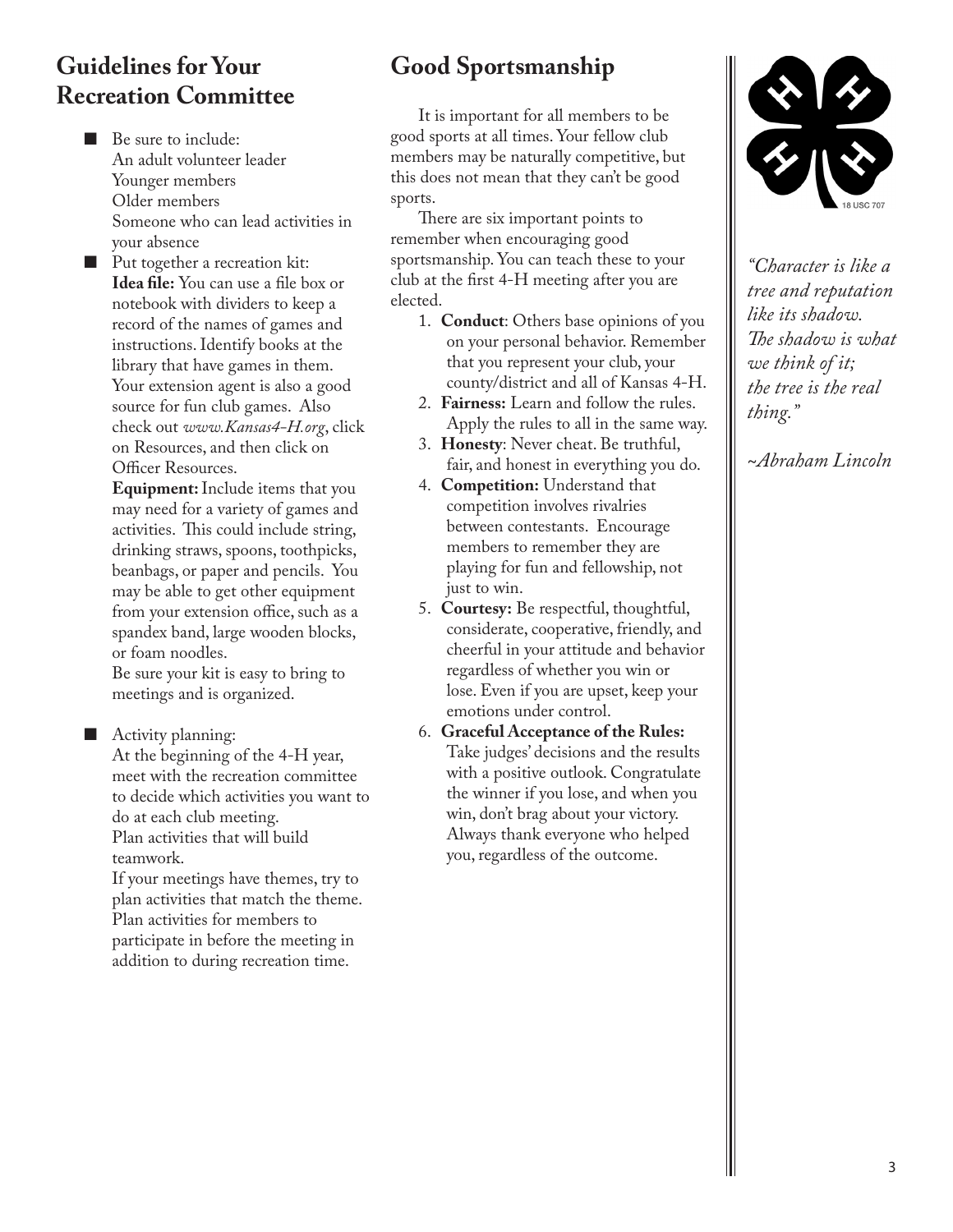## **Guidelines for Your Recreation Committee**

■ Be sure to include: An adult volunteer leader Younger members Older members Someone who can lead activities in your absence

Put together a recreation kit: **Idea file:** You can use a file box or notebook with dividers to keep a record of the names of games and instructions. Identify books at the library that have games in them. Your extension agent is also a good source for fun club games. Also check out *www.Kansas4-H.org*, click on Resources, and then click on Officer Resources.

**Equipment:**Include items that you may need for a variety of games and activities. This could include string, drinking straws, spoons, toothpicks, beanbags, or paper and pencils. You may be able to get other equipment from your extension office, such as a spandex band, large wooden blocks, or foam noodles.

Be sure your kit is easy to bring to meetings and is organized.

■ Activity planning:

At the beginning of the 4-H year, meet with the recreation committee to decide which activities you want to do at each club meeting. Plan activities that will build teamwork.

If your meetings have themes, try to plan activities that match the theme. Plan activities for members to participate in before the meeting in addition to during recreation time.

# **Good Sportsmanship**

It is important for all members to be good sports at all times. Your fellow club members may be naturally competitive, but this does not mean that they can't be good sports.

There are six important points to remember when encouraging good sportsmanship. You can teach these to your club at the first 4-H meeting after you are elected.

- 1. **Conduct**: Others base opinions of you on your personal behavior. Remember that you represent your club, your county/district and all of Kansas 4-H.
- 2. **Fairness:** Learn and follow the rules. Apply the rules to all in the same way.
- 3. **Honesty**: Never cheat. Be truthful, fair, and honest in everything you do.
- 4. **Competition:** Understand that competition involves rivalries between contestants. Encourage members to remember they are playing for fun and fellowship, not just to win.
- 5. **Courtesy:** Be respectful, thoughtful, considerate, cooperative, friendly, and cheerful in your attitude and behavior regardless of whether you win or lose. Even if you are upset, keep your emotions under control.
- 6. **Graceful Acceptance of the Rules:**  Take judges' decisions and the results with a positive outlook. Congratulate the winner if you lose, and when you win, don't brag about your victory. Always thank everyone who helped you, regardless of the outcome.



*"Character is like a tree and reputation like its shadow. The shadow is what we think of it; the tree is the real thing."*

*~Abraham Lincoln*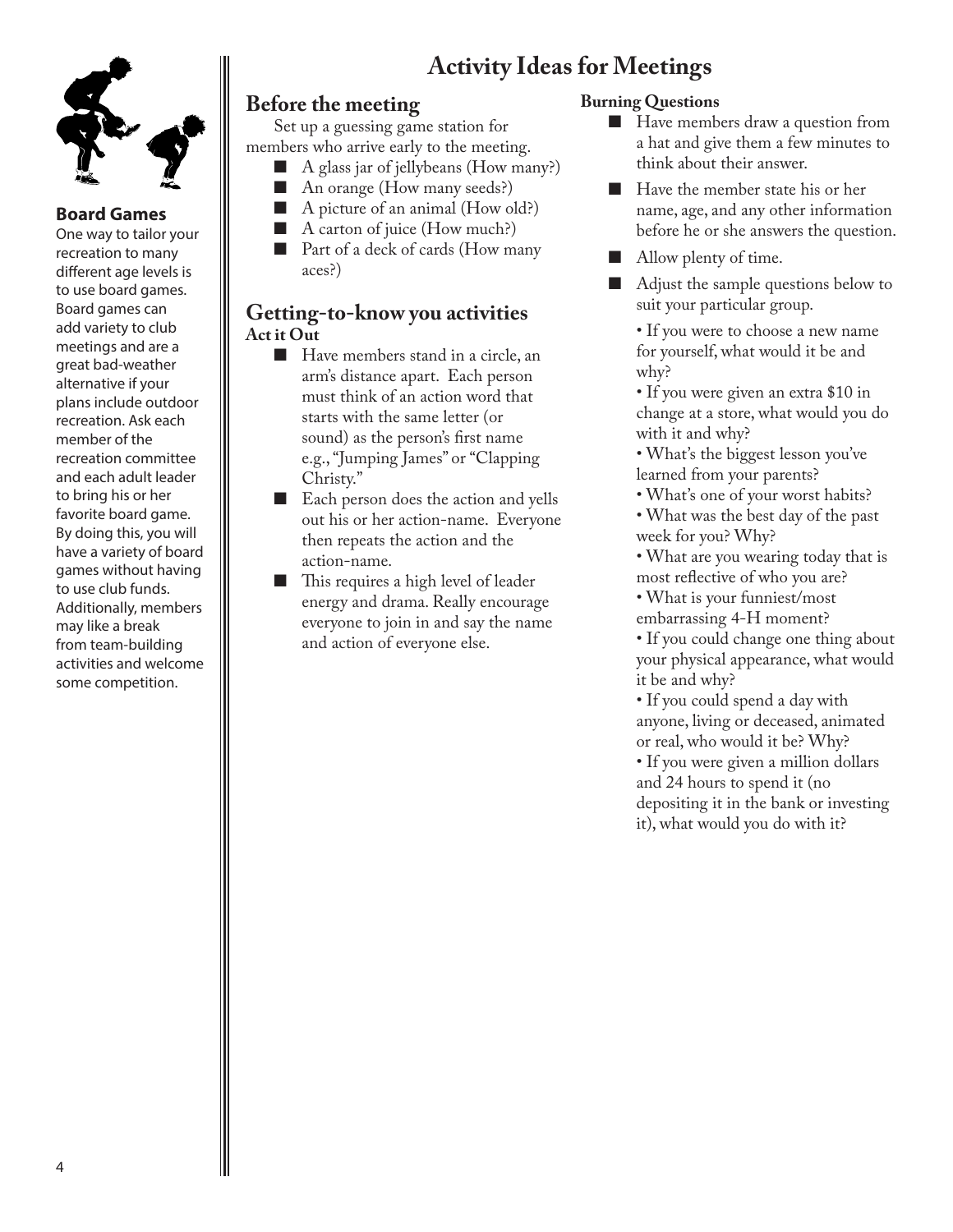# **Activity Ideas for Meetings**



### **Board Games**

One way to tailor your recreation to many different age levels is to use board games. Board games can add variety to club meetings and are a great bad-weather alternative if your plans include outdoor recreation. Ask each member of the recreation committee and each adult leader to bring his or her favorite board game. By doing this, you will have a variety of board games without having to use club funds. Additionally, members may like a break from team-building activities and welcome some competition.

## **Before the meeting**

Set up a guessing game station for members who arrive early to the meeting.

- A glass jar of jellybeans (How many?)
- An orange (How many seeds?)<br>■ A picture of an animal (How o
- A picture of an animal (How old?)
- A carton of juice (How much?)
- Part of a deck of cards (How many aces?)

## **Getting-to-know you activities Act it Out**

- Have members stand in a circle, an arm's distance apart. Each person must think of an action word that starts with the same letter (or sound) as the person's first name e.g., "Jumping James" or "Clapping Christy."
- Each person does the action and yells out his or her action-name. Everyone then repeats the action and the action-name.
- This requires a high level of leader energy and drama. Really encourage everyone to join in and say the name and action of everyone else.

### **Burning Questions**

- Have members draw a question from a hat and give them a few minutes to think about their answer.
- Have the member state his or her name, age, and any other information before he or she answers the question.
- Allow plenty of time.
- Adjust the sample questions below to suit your particular group.

• If you were to choose a new name for yourself, what would it be and why?

• If you were given an extra \$10 in change at a store, what would you do with it and why?

- What's the biggest lesson you've learned from your parents?
- What's one of your worst habits?
- What was the best day of the past week for you? Why?
- What are you wearing today that is most reflective of who you are?
- What is your funniest/most embarrassing 4-H moment?
- If you could change one thing about your physical appearance, what would it be and why?
- If you could spend a day with anyone, living or deceased, animated or real, who would it be? Why?

• If you were given a million dollars and 24 hours to spend it (no depositing it in the bank or investing it), what would you do with it?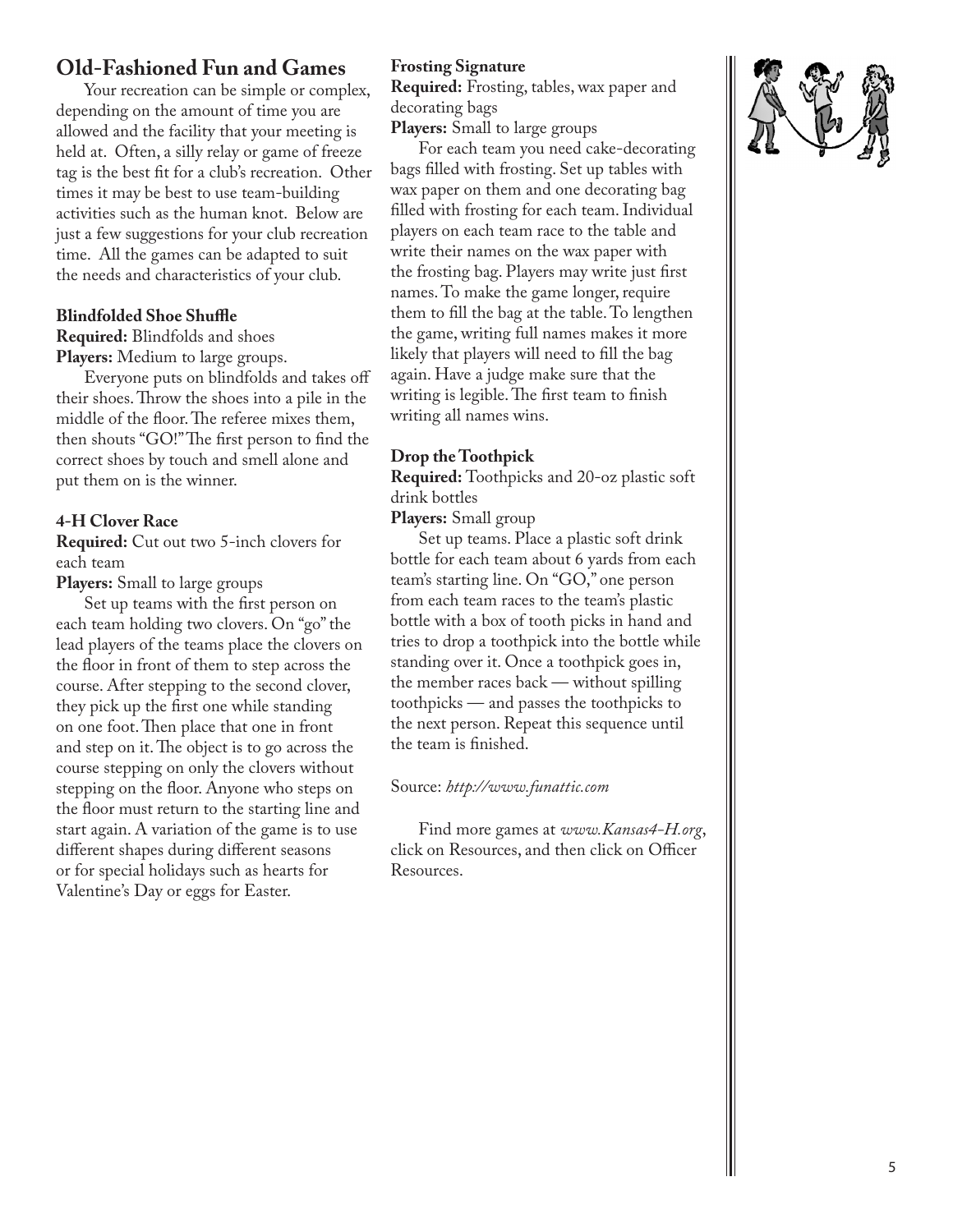## **Old-Fashioned Fun and Games**

Your recreation can be simple or complex, depending on the amount of time you are allowed and the facility that your meeting is held at. Often, a silly relay or game of freeze tag is the best fit for a club's recreation. Other times it may be best to use team-building activities such as the human knot. Below are just a few suggestions for your club recreation time. All the games can be adapted to suit the needs and characteristics of your club.

#### **Blindfolded Shoe Shuffle**

**Required:** Blindfolds and shoes **Players:** Medium to large groups.

Everyone puts on blindfolds and takes off their shoes. Throw the shoes into a pile in the middle of the floor. The referee mixes them, then shouts "GO!" The first person to find the correct shoes by touch and smell alone and put them on is the winner.

#### **4-H Clover Race**

**Required:** Cut out two 5-inch clovers for each team

**Players:** Small to large groups

Set up teams with the first person on each team holding two clovers. On "go" the lead players of the teams place the clovers on the floor in front of them to step across the course. After stepping to the second clover, they pick up the first one while standing on one foot. Then place that one in front and step on it. The object is to go across the course stepping on only the clovers without stepping on the floor. Anyone who steps on the floor must return to the starting line and start again. A variation of the game is to use different shapes during different seasons or for special holidays such as hearts for Valentine's Day or eggs for Easter.

#### **Frosting Signature**

**Required:** Frosting, tables, wax paper and decorating bags

**Players:** Small to large groups

For each team you need cake-decorating bags filled with frosting. Set up tables with wax paper on them and one decorating bag filled with frosting for each team. Individual players on each team race to the table and write their names on the wax paper with the frosting bag. Players may write just first names. To make the game longer, require them to fill the bag at the table. To lengthen the game, writing full names makes it more likely that players will need to fill the bag again. Have a judge make sure that the writing is legible. The first team to finish writing all names wins.

#### **Drop the Toothpick**

**Required:** Toothpicks and 20-oz plastic soft drink bottles

**Players:** Small group

Set up teams. Place a plastic soft drink bottle for each team about 6 yards from each team's starting line. On "GO," one person from each team races to the team's plastic bottle with a box of tooth picks in hand and tries to drop a toothpick into the bottle while standing over it. Once a toothpick goes in, the member races back — without spilling toothpicks — and passes the toothpicks to the next person. Repeat this sequence until the team is finished.

#### Source: *http://www.funattic.com*

Find more games at *www.Kansas4-H.org*, click on Resources, and then click on Officer Resources.

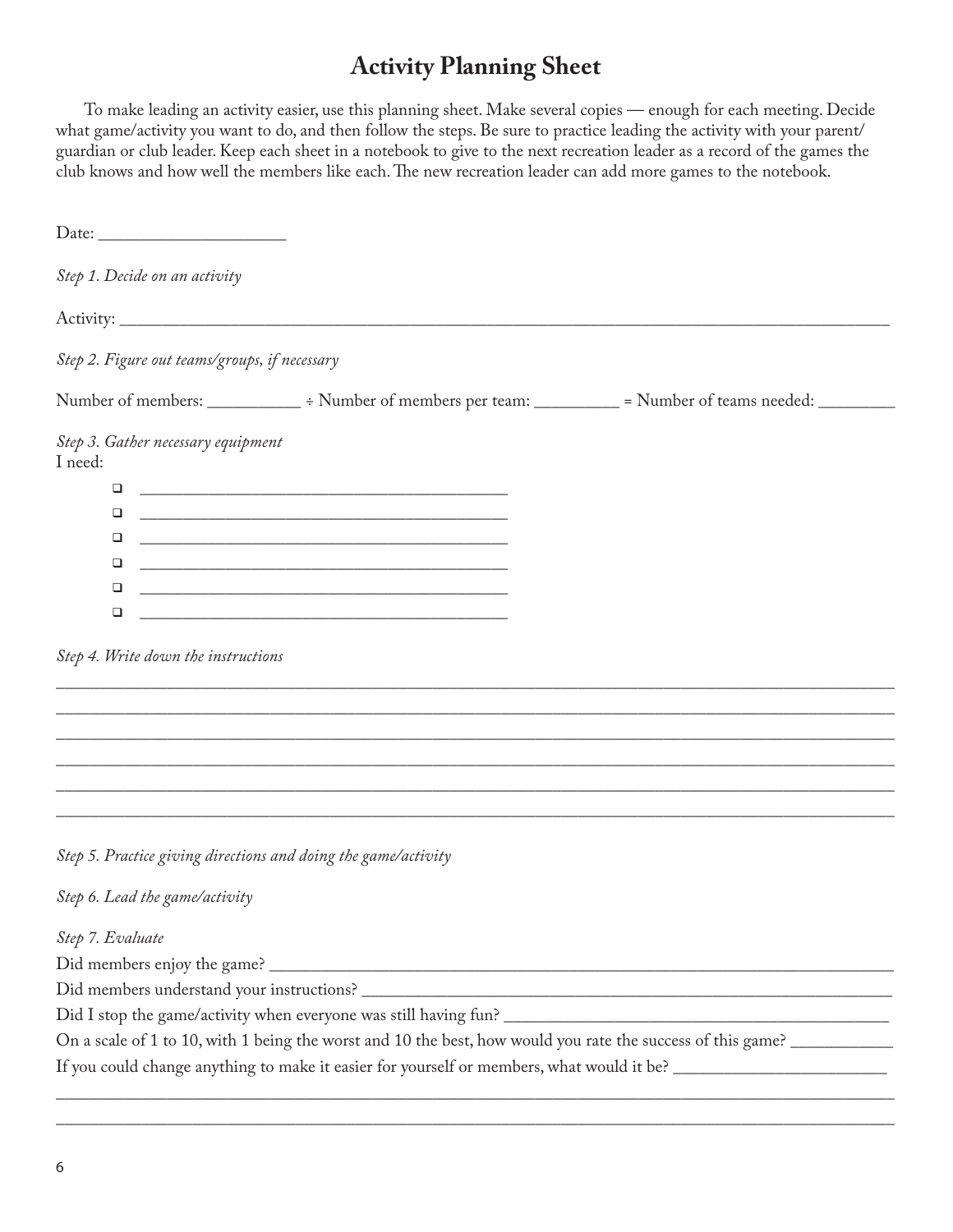# **Activity Planning Sheet**

To make leading an activity easier, use this planning sheet. Make several copies — enough for each meeting. Decide what game/activity you want to do, and then follow the steps. Be sure to practice leading the activity with your parent/ guardian or club leader. Keep each sheet in a notebook to give to the next recreation leader as a record of the games the club knows and how well the members like each. The new recreation leader can add more games to the notebook.

| Step 1. Decide on an activity                 |                                                                                                                      |  |
|-----------------------------------------------|----------------------------------------------------------------------------------------------------------------------|--|
|                                               |                                                                                                                      |  |
| Step 2. Figure out teams/groups, if necessary |                                                                                                                      |  |
|                                               | Number of members: _____________ ÷ Number of members per team: __________ = Number of teams needed: _________        |  |
| Step 3. Gather necessary equipment<br>I need: |                                                                                                                      |  |
| ❏                                             |                                                                                                                      |  |
| □                                             |                                                                                                                      |  |
| □                                             | <u> 1980 - Jan James James, martin amerikan basar dan berasal dari berasal dalam basa dalam basa dalam basa dala</u> |  |
| ❏                                             |                                                                                                                      |  |
| □                                             |                                                                                                                      |  |
| ❏                                             |                                                                                                                      |  |
| Step 4. Write down the instructions           |                                                                                                                      |  |
|                                               |                                                                                                                      |  |
|                                               |                                                                                                                      |  |
|                                               | Step 5. Practice giving directions and doing the game/activity                                                       |  |
| Step 6. Lead the game/activity                |                                                                                                                      |  |
| Step 7. Evaluate                              |                                                                                                                      |  |
|                                               |                                                                                                                      |  |
|                                               |                                                                                                                      |  |
|                                               |                                                                                                                      |  |
|                                               | On a scale of 1 to 10, with 1 being the worst and 10 the best, how would you rate the success of this game?          |  |
|                                               | If you could change anything to make it easier for yourself or members, what would it be? ____________________       |  |
|                                               |                                                                                                                      |  |

 $\overline{\phantom{a}}$  ,  $\overline{\phantom{a}}$  ,  $\overline{\phantom{a}}$  ,  $\overline{\phantom{a}}$  ,  $\overline{\phantom{a}}$  ,  $\overline{\phantom{a}}$  ,  $\overline{\phantom{a}}$  ,  $\overline{\phantom{a}}$  ,  $\overline{\phantom{a}}$  ,  $\overline{\phantom{a}}$  ,  $\overline{\phantom{a}}$  ,  $\overline{\phantom{a}}$  ,  $\overline{\phantom{a}}$  ,  $\overline{\phantom{a}}$  ,  $\overline{\phantom{a}}$  ,  $\overline{\phantom{a}}$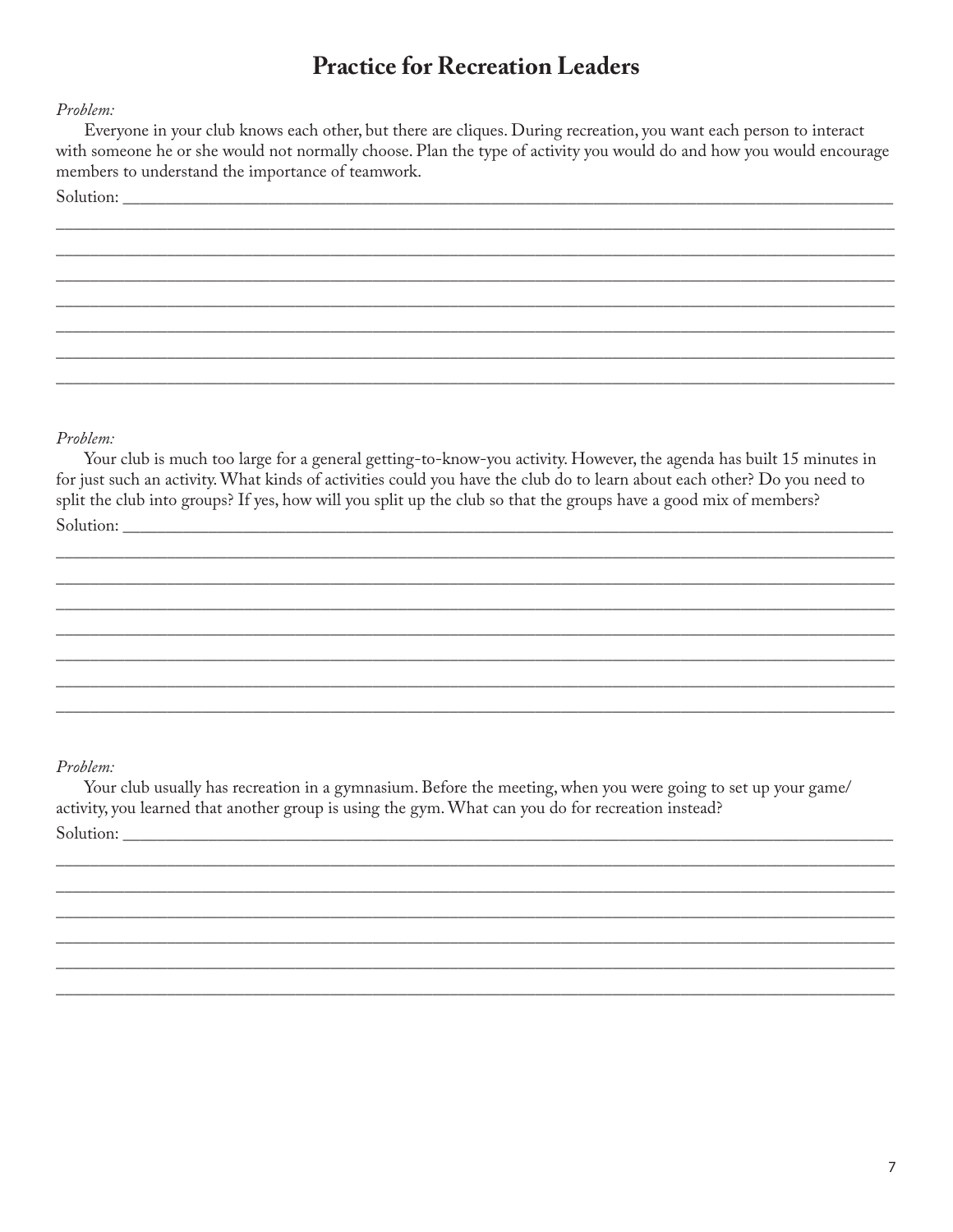## **Practice for Recreation Leaders**

#### Problem:

Everyone in your club knows each other, but there are cliques. During recreation, you want each person to interact with someone he or she would not normally choose. Plan the type of activity you would do and how you would encourage members to understand the importance of teamwork.

Solution:

#### Problem:

Your club is much too large for a general getting-to-know-you activity. However, the agenda has built 15 minutes in for just such an activity. What kinds of activities could you have the club do to learn about each other? Do you need to split the club into groups? If yes, how will you split up the club so that the groups have a good mix of members? Solution:

#### Problem:

Your club usually has recreation in a gymnasium. Before the meeting, when you were going to set up your game/ activity, you learned that another group is using the gym. What can you do for recreation instead? Solution: